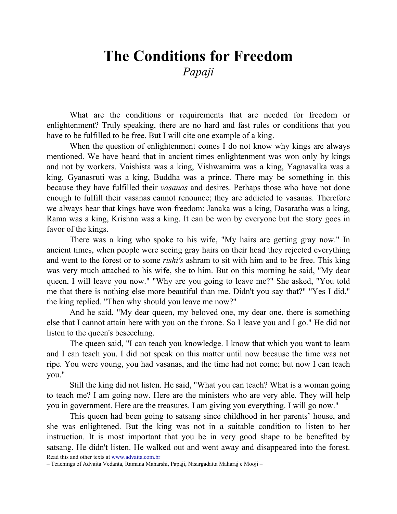## The Conditions for Freedom Papaji

What are the conditions or requirements that are needed for freedom or enlightenment? Truly speaking, there are no hard and fast rules or conditions that you have to be fulfilled to be free. But I will cite one example of a king.

When the question of enlightenment comes I do not know why kings are always mentioned. We have heard that in ancient times enlightenment was won only by kings and not by workers. Vaishista was a king, Vishwamitra was a king, Yagnavalka was a king, Gyanasruti was a king, Buddha was a prince. There may be something in this because they have fulfilled their vasanas and desires. Perhaps those who have not done enough to fulfill their vasanas cannot renounce; they are addicted to vasanas. Therefore we always hear that kings have won freedom: Janaka was a king, Dasaratha was a king, Rama was a king, Krishna was a king. It can be won by everyone but the story goes in favor of the kings.

There was a king who spoke to his wife, "My hairs are getting gray now." In ancient times, when people were seeing gray hairs on their head they rejected everything and went to the forest or to some rishi's ashram to sit with him and to be free. This king was very much attached to his wife, she to him. But on this morning he said, "My dear queen, I will leave you now." "Why are you going to leave me?" She asked, "You told me that there is nothing else more beautiful than me. Didn't you say that?" "Yes I did," the king replied. "Then why should you leave me now?"

And he said, "My dear queen, my beloved one, my dear one, there is something else that I cannot attain here with you on the throne. So I leave you and I go." He did not listen to the queen's beseeching.

The queen said, "I can teach you knowledge. I know that which you want to learn and I can teach you. I did not speak on this matter until now because the time was not ripe. You were young, you had vasanas, and the time had not come; but now I can teach you."

Still the king did not listen. He said, "What you can teach? What is a woman going to teach me? I am going now. Here are the ministers who are very able. They will help you in government. Here are the treasures. I am giving you everything. I will go now."

This queen had been going to satsang since childhood in her parents' house, and she was enlightened. But the king was not in a suitable condition to listen to her instruction. It is most important that you be in very good shape to be benefited by satsang. He didn't listen. He walked out and went away and disappeared into the forest.

Read this and other texts at www.advaita.com.br

– Teachings of Advaita Vedanta, Ramana Maharshi, Papaji, Nisargadatta Maharaj e Mooji –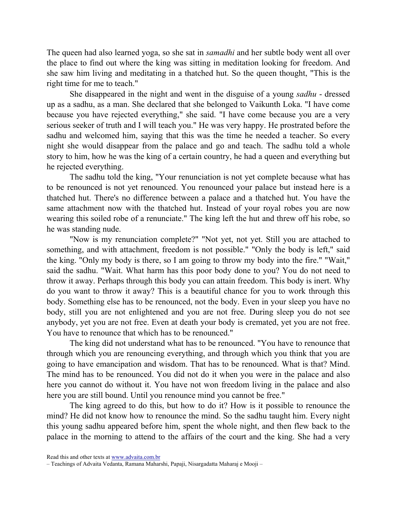The queen had also learned yoga, so she sat in samadhi and her subtle body went all over the place to find out where the king was sitting in meditation looking for freedom. And she saw him living and meditating in a thatched hut. So the queen thought, "This is the right time for me to teach."

She disappeared in the night and went in the disguise of a young sadhu - dressed up as a sadhu, as a man. She declared that she belonged to Vaikunth Loka. "I have come because you have rejected everything," she said. "I have come because you are a very serious seeker of truth and I will teach you." He was very happy. He prostrated before the sadhu and welcomed him, saying that this was the time he needed a teacher. So every night she would disappear from the palace and go and teach. The sadhu told a whole story to him, how he was the king of a certain country, he had a queen and everything but he rejected everything.

The sadhu told the king, "Your renunciation is not yet complete because what has to be renounced is not yet renounced. You renounced your palace but instead here is a thatched hut. There's no difference between a palace and a thatched hut. You have the same attachment now with the thatched hut. Instead of your royal robes you are now wearing this soiled robe of a renunciate." The king left the hut and threw off his robe, so he was standing nude.

"Now is my renunciation complete?" "Not yet, not yet. Still you are attached to something, and with attachment, freedom is not possible." "Only the body is left," said the king. "Only my body is there, so I am going to throw my body into the fire." "Wait," said the sadhu. "Wait. What harm has this poor body done to you? You do not need to throw it away. Perhaps through this body you can attain freedom. This body is inert. Why do you want to throw it away? This is a beautiful chance for you to work through this body. Something else has to be renounced, not the body. Even in your sleep you have no body, still you are not enlightened and you are not free. During sleep you do not see anybody, yet you are not free. Even at death your body is cremated, yet you are not free. You have to renounce that which has to be renounced."

The king did not understand what has to be renounced. "You have to renounce that through which you are renouncing everything, and through which you think that you are going to have emancipation and wisdom. That has to be renounced. What is that? Mind. The mind has to be renounced. You did not do it when you were in the palace and also here you cannot do without it. You have not won freedom living in the palace and also here you are still bound. Until you renounce mind you cannot be free."

The king agreed to do this, but how to do it? How is it possible to renounce the mind? He did not know how to renounce the mind. So the sadhu taught him. Every night this young sadhu appeared before him, spent the whole night, and then flew back to the palace in the morning to attend to the affairs of the court and the king. She had a very

Read this and other texts at www.advaita.com.br

<sup>–</sup> Teachings of Advaita Vedanta, Ramana Maharshi, Papaji, Nisargadatta Maharaj e Mooji –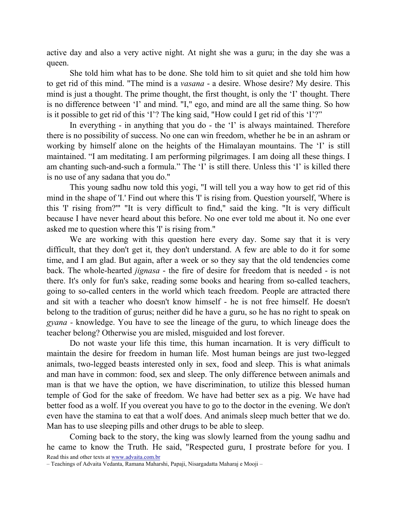active day and also a very active night. At night she was a guru; in the day she was a queen.

She told him what has to be done. She told him to sit quiet and she told him how to get rid of this mind. "The mind is a vasana - a desire. Whose desire? My desire. This mind is just a thought. The prime thought, the first thought, is only the 'I' thought. There is no difference between 'I' and mind. "I," ego, and mind are all the same thing. So how is it possible to get rid of this 'I'? The king said, "How could I get rid of this 'I'?"

In everything - in anything that you do - the 'I' is always maintained. Therefore there is no possibility of success. No one can win freedom, whether he be in an ashram or working by himself alone on the heights of the Himalayan mountains. The 'I' is still maintained. "I am meditating. I am performing pilgrimages. I am doing all these things. I am chanting such-and-such a formula." The 'I' is still there. Unless this 'I' is killed there is no use of any sadana that you do."

This young sadhu now told this yogi, "I will tell you a way how to get rid of this mind in the shape of 'I.' Find out where this 'I' is rising from. Question yourself, 'Where is this 'I' rising from?'" "It is very difficult to find," said the king. "It is very difficult because I have never heard about this before. No one ever told me about it. No one ever asked me to question where this 'I' is rising from."

We are working with this question here every day. Some say that it is very difficult, that they don't get it, they don't understand. A few are able to do it for some time, and I am glad. But again, after a week or so they say that the old tendencies come back. The whole-hearted *jignasa* - the fire of desire for freedom that is needed - is not there. It's only for fun's sake, reading some books and hearing from so-called teachers, going to so-called centers in the world which teach freedom. People are attracted there and sit with a teacher who doesn't know himself - he is not free himself. He doesn't belong to the tradition of gurus; neither did he have a guru, so he has no right to speak on gyana - knowledge. You have to see the lineage of the guru, to which lineage does the teacher belong? Otherwise you are misled, misguided and lost forever.

Do not waste your life this time, this human incarnation. It is very difficult to maintain the desire for freedom in human life. Most human beings are just two-legged animals, two-legged beasts interested only in sex, food and sleep. This is what animals and man have in common: food, sex and sleep. The only difference between animals and man is that we have the option, we have discrimination, to utilize this blessed human temple of God for the sake of freedom. We have had better sex as a pig. We have had better food as a wolf. If you overeat you have to go to the doctor in the evening. We don't even have the stamina to eat that a wolf does. And animals sleep much better that we do. Man has to use sleeping pills and other drugs to be able to sleep.

Read this and other texts at www.advaita.com.br Coming back to the story, the king was slowly learned from the young sadhu and he came to know the Truth. He said, "Respected guru, I prostrate before for you. I

– Teachings of Advaita Vedanta, Ramana Maharshi, Papaji, Nisargadatta Maharaj e Mooji –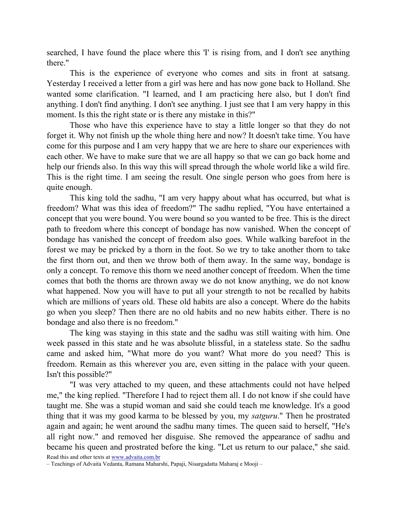searched, I have found the place where this 'I' is rising from, and I don't see anything there."

This is the experience of everyone who comes and sits in front at satsang. Yesterday I received a letter from a girl was here and has now gone back to Holland. She wanted some clarification. "I learned, and I am practicing here also, but I don't find anything. I don't find anything. I don't see anything. I just see that I am very happy in this moment. Is this the right state or is there any mistake in this?"

Those who have this experience have to stay a little longer so that they do not forget it. Why not finish up the whole thing here and now? It doesn't take time. You have come for this purpose and I am very happy that we are here to share our experiences with each other. We have to make sure that we are all happy so that we can go back home and help our friends also. In this way this will spread through the whole world like a wild fire. This is the right time. I am seeing the result. One single person who goes from here is quite enough.

This king told the sadhu, "I am very happy about what has occurred, but what is freedom? What was this idea of freedom?" The sadhu replied, "You have entertained a concept that you were bound. You were bound so you wanted to be free. This is the direct path to freedom where this concept of bondage has now vanished. When the concept of bondage has vanished the concept of freedom also goes. While walking barefoot in the forest we may be pricked by a thorn in the foot. So we try to take another thorn to take the first thorn out, and then we throw both of them away. In the same way, bondage is only a concept. To remove this thorn we need another concept of freedom. When the time comes that both the thorns are thrown away we do not know anything, we do not know what happened. Now you will have to put all your strength to not be recalled by habits which are millions of years old. These old habits are also a concept. Where do the habits go when you sleep? Then there are no old habits and no new habits either. There is no bondage and also there is no freedom."

The king was staying in this state and the sadhu was still waiting with him. One week passed in this state and he was absolute blissful, in a stateless state. So the sadhu came and asked him, "What more do you want? What more do you need? This is freedom. Remain as this wherever you are, even sitting in the palace with your queen. Isn't this possible?"

"I was very attached to my queen, and these attachments could not have helped me," the king replied. "Therefore I had to reject them all. I do not know if she could have taught me. She was a stupid woman and said she could teach me knowledge. It's a good thing that it was my good karma to be blessed by you, my satguru." Then he prostrated again and again; he went around the sadhu many times. The queen said to herself, "He's all right now." and removed her disguise. She removed the appearance of sadhu and became his queen and prostrated before the king. "Let us return to our palace," she said.

Read this and other texts at www.advaita.com.br

<sup>–</sup> Teachings of Advaita Vedanta, Ramana Maharshi, Papaji, Nisargadatta Maharaj e Mooji –